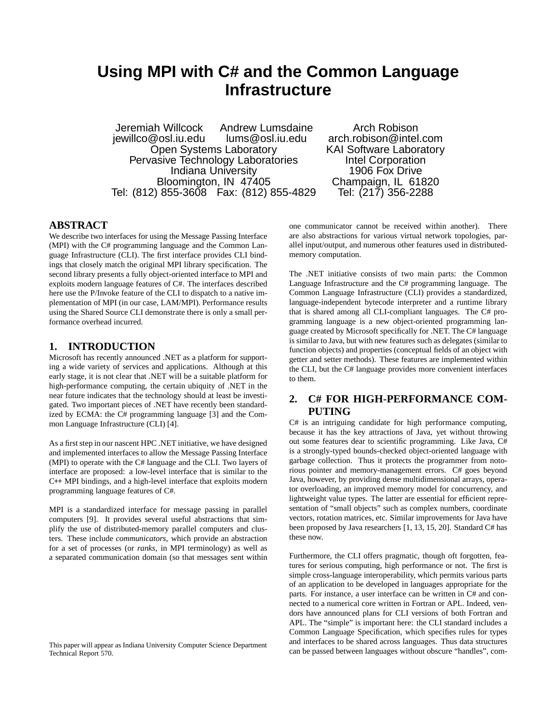# **Using MPI with C# and the Common Language Infrastructure**

Jeremiah Willcock Andrew Lumsdaine Arch Robison<br>jewillco@osl.iu.edu lums@osl.iu.edu arch.robison@intel Open Systems Laboratory **KAI Software Labora**<br>
vasive Technology Laboratories **Reserve The Corporation** Pervasive Technology Laboratories **Intel Corporation**<br>Indiana University 1906 Fox Drive Indiana University **1906 Fox Drive**<br> **Champaign, IL 61820**<br>
Champaign, IL 61820 Bloomington, IN 47405 Champaign, IL 6182<br>855-3608 Fax: (812) 855-4829 Tel: (217) 356-2288 Tel: (812) 855-3608 Fax: (812) 855-4829

arch.robison@intel.com<br>KAI Software Laboratory

# **ABSTRACT**

We describe two interfaces for using the Message Passing Interface (MPI) with the C# programming language and the Common Language Infrastructure (CLI). The first interface provides CLI bindings that closely match the original MPI library specification. The second library presents a fully object-oriented interface to MPI and exploits modern language features of C#. The interfaces described here use the P/Invoke feature of the CLI to dispatch to a native implementation of MPI (in our case, LAM/MPI). Performance results using the Shared Source CLI demonstrate there is only a small performance overhead incurred.

# **1. INTRODUCTION**

Microsoft has recently announced .NET as a platform for supporting a wide variety of services and applications. Although at this early stage, it is not clear that .NET will be a suitable platform for high-performance computing, the certain ubiquity of .NET in the near future indicates that the technology should at least be investigated. Two important pieces of .NET have recently been standardized by ECMA: the C# programming language [3] and the Common Language Infrastructure (CLI) [4].

As a first step in our nascent HPC .NET initiative, we have designed and implemented interfaces to allow the Message Passing Interface (MPI) to operate with the C# language and the CLI. Two layers of interface are proposed: a low-level interface that is similar to the C++ MPI bindings, and a high-level interface that exploits modern programming language features of C#.

MPI is a standardized interface for message passing in parallel computers [9]. It provides several useful abstractions that simplify the use of distributed-memory parallel computers and clusters. These include *communicators*, which provide an abstraction for a set of processes (or *ranks*, in MPI terminology) as well as a separated communication domain (so that messages sent within

This paper will appear as Indiana University Computer Science Department Technical Report 570.

one communicator cannot be received within another). There are also abstractions for various virtual network topologies, parallel input/output, and numerous other features used in distributedmemory computation.

The .NET initiative consists of two main parts: the Common Language Infrastructure and the C# programming language. The Common Language Infrastructure (CLI) provides a standardized, language-independent bytecode interpreter and a runtime library that is shared among all CLI-compliant languages. The C# programming language is a new object-oriented programming language created by Microsoft specifically for .NET. The C# language is similar to Java, but with new features such as delegates (similar to function objects) and properties (conceptual fields of an object with getter and setter methods). These features are implemented within the CLI, but the C# language provides more convenient interfaces to them.

# **2. C# FOR HIGH-PERFORMANCE COM-PUTING**

C# is an intriguing candidate for high performance computing, because it has the key attractions of Java, yet without throwing out some features dear to scientific programming. Like Java, C# is a strongly-typed bounds-checked object-oriented language with garbage collection. Thus it protects the programmer from notorious pointer and memory-management errors. C# goes beyond Java, however, by providing dense multidimensional arrays, operator overloading, an improved memory model for concurrency, and lightweight value types. The latter are essential for efficient representation of "small objects" such as complex numbers, coordinate vectors, rotation matrices, etc. Similar improvements for Java have been proposed by Java researchers [1, 13, 15, 20]. Standard C# has these now.

Furthermore, the CLI offers pragmatic, though oft forgotten, features for serious computing, high performance or not. The first is simple cross-language interoperability, which permits various parts of an application to be developed in languages appropriate for the parts. For instance, a user interface can be written in C# and connected to a numerical core written in Fortran or APL. Indeed, vendors have announced plans for CLI versions of both Fortran and APL. The "simple" is important here: the CLI standard includes a Common Language Specification, which specifies rules for types and interfaces to be shared across languages. Thus data structures can be passed between languages without obscure "handles", com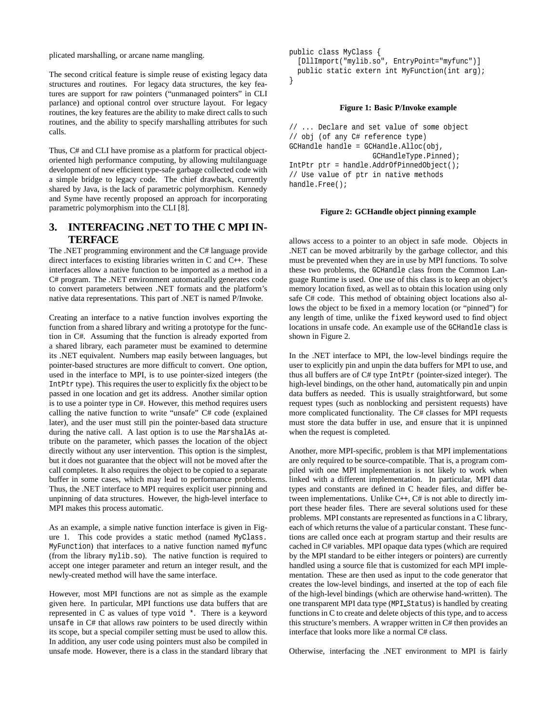plicated marshalling, or arcane name mangling.

The second critical feature is simple reuse of existing legacy data structures and routines. For legacy data structures, the key features are support for raw pointers ("unmanaged pointers" in CLI parlance) and optional control over structure layout. For legacy routines, the key features are the ability to make direct calls to such routines, and the ability to specify marshalling attributes for such calls.

Thus, C# and CLI have promise as a platform for practical objectoriented high performance computing, by allowing multilanguage development of new efficient type-safe garbage collected code with a simple bridge to legacy code. The chief drawback, currently shared by Java, is the lack of parametric polymorphism. Kennedy and Syme have recently proposed an approach for incorporating parametric polymorphism into the CLI [8].

# **3. INTERFACING .NET TO THE C MPI IN-TERFACE**

The .NET programming environment and the C# language provide direct interfaces to existing libraries written in C and C++. These interfaces allow a native function to be imported as a method in a C# program. The .NET environment automatically generates code to convert parameters between .NET formats and the platform's native data representations. This part of .NET is named P/Invoke.

Creating an interface to a native function involves exporting the function from a shared library and writing a prototype for the function in C#. Assuming that the function is already exported from a shared library, each parameter must be examined to determine its .NET equivalent. Numbers map easily between languages, but pointer-based structures are more difficult to convert. One option, used in the interface to MPI, is to use pointer-sized integers (the IntPtr type). This requires the user to explicitly fix the object to be passed in one location and get its address. Another similar option is to use a pointer type in C#. However, this method requires users calling the native function to write "unsafe" C# code (explained later), and the user must still pin the pointer-based data structure during the native call. A last option is to use the MarshalAs attribute on the parameter, which passes the location of the object directly without any user intervention. This option is the simplest, but it does not guarantee that the object will not be moved after the call completes. It also requires the object to be copied to a separate buffer in some cases, which may lead to performance problems. Thus, the .NET interface to MPI requires explicit user pinning and unpinning of data structures. However, the high-level interface to MPI makes this process automatic.

As an example, a simple native function interface is given in Figure 1. This code provides a static method (named MyClass. MyFunction) that interfaces to a native function named myfunc (from the library mylib.so). The native function is required to accept one integer parameter and return an integer result, and the newly-created method will have the same interface.

However, most MPI functions are not as simple as the example given here. In particular, MPI functions use data buffers that are represented in C as values of type void \*. There is a keyword unsafe in C# that allows raw pointers to be used directly within its scope, but a special compiler setting must be used to allow this. In addition, any user code using pointers must also be compiled in unsafe mode. However, there is a class in the standard library that

```
public class MyClass {
  [DllImport("mylib.so", EntryPoint="myfunc")]
 public static extern int MyFunction(int arg);
}
```
#### **Figure 1: Basic P/Invoke example**

```
// ... Declare and set value of some object
// obj (of any C# reference type)
GCHandle handle = GCHandle.Alloc(obj,
                    GCHandleType.Pinned);
IntPtr ptr = handle.AddrOfPinnedObject();
// Use value of ptr in native methods
handle.Free();
```
#### **Figure 2: GCHandle object pinning example**

allows access to a pointer to an object in safe mode. Objects in .NET can be moved arbitrarily by the garbage collector, and this must be prevented when they are in use by MPI functions. To solve these two problems, the GCHandle class from the Common Language Runtime is used. One use of this class is to keep an object's memory location fixed, as well as to obtain this location using only safe C# code. This method of obtaining object locations also allows the object to be fixed in a memory location (or "pinned") for any length of time, unlike the fixed keyword used to find object locations in unsafe code. An example use of the GCHandle class is shown in Figure 2.

In the .NET interface to MPI, the low-level bindings require the user to explicitly pin and unpin the data buffers for MPI to use, and thus all buffers are of C# type IntPtr (pointer-sized integer). The high-level bindings, on the other hand, automatically pin and unpin data buffers as needed. This is usually straightforward, but some request types (such as nonblocking and persistent requests) have more complicated functionality. The C# classes for MPI requests must store the data buffer in use, and ensure that it is unpinned when the request is completed.

Another, more MPI-specific, problem is that MPI implementations are only required to be source-compatible. That is, a program compiled with one MPI implementation is not likely to work when linked with a different implementation. In particular, MPI data types and constants are defined in C header files, and differ between implementations. Unlike C++, C# is not able to directly import these header files. There are several solutions used for these problems. MPI constants are represented as functions in a C library, each of which returns the value of a particular constant. These functions are called once each at program startup and their results are cached in C# variables. MPI opaque data types (which are required by the MPI standard to be either integers or pointers) are currently handled using a source file that is customized for each MPI implementation. These are then used as input to the code generator that creates the low-level bindings, and inserted at the top of each file of the high-level bindings (which are otherwise hand-written). The one transparent MPI data type (MPI Status) is handled by creating functions in C to create and delete objects of this type, and to access this structure's members. A wrapper written in C# then provides an interface that looks more like a normal C# class.

Otherwise, interfacing the .NET environment to MPI is fairly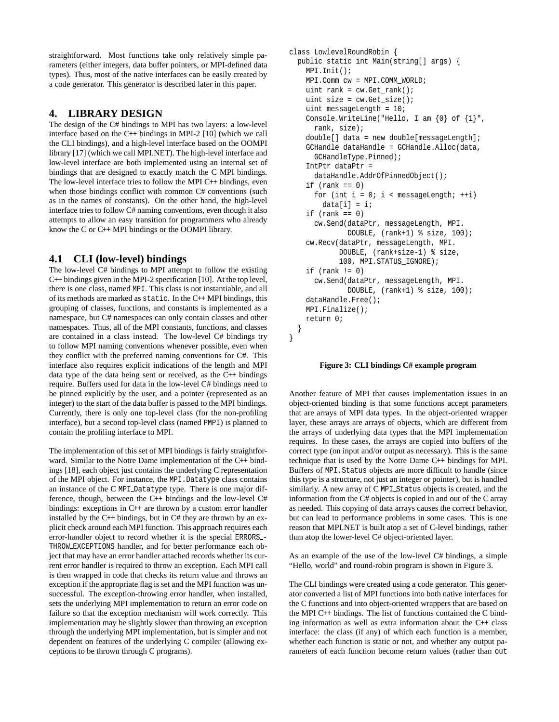straightforward. Most functions take only relatively simple parameters (either integers, data buffer pointers, or MPI-defined data types). Thus, most of the native interfaces can be easily created by a code generator. This generator is described later in this paper.

# **4. LIBRARY DESIGN**

The design of the C# bindings to MPI has two layers: a low-level interface based on the C++ bindings in MPI-2 [10] (which we call the CLI bindings), and a high-level interface based on the OOMPI library [17] (which we call MPI.NET). The high-level interface and low-level interface are both implemented using an internal set of bindings that are designed to exactly match the C MPI bindings. The low-level interface tries to follow the MPI C++ bindings, even when those bindings conflict with common C# conventions (such as in the names of constants). On the other hand, the high-level interface tries to follow C# naming conventions, even though it also attempts to allow an easy transition for programmers who already know the C or C++ MPI bindings or the OOMPI library.

# **4.1 CLI (low-level) bindings**

The low-level C# bindings to MPI attempt to follow the existing C++ bindings given in the MPI-2 specification [10]. At the top level, there is one class, named MPI. This class is not instantiable, and all of its methods are marked as static. In the C++ MPI bindings, this grouping of classes, functions, and constants is implemented as a namespace, but C# namespaces can only contain classes and other namespaces. Thus, all of the MPI constants, functions, and classes are contained in a class instead. The low-level C# bindings try to follow MPI naming conventions whenever possible, even when they conflict with the preferred naming conventions for C#. This interface also requires explicit indications of the length and MPI data type of the data being sent or received, as the C++ bindings require. Buffers used for data in the low-level C# bindings need to be pinned explicitly by the user, and a pointer (represented as an integer) to the start of the data buffer is passed to the MPI bindings. Currently, there is only one top-level class (for the non-profiling interface), but a second top-level class (named PMPI) is planned to contain the profiling interface to MPI.

The implementation of this set of MPI bindings is fairly straightforward. Similar to the Notre Dame implementation of the C++ bindings [18], each object just contains the underlying C representation of the MPI object. For instance, the MPI.Datatype class contains an instance of the C MPI Datatype type. There is one major difference, though, between the C++ bindings and the low-level C# bindings: exceptions in C++ are thrown by a custom error handler installed by the  $C_{++}$  bindings, but in  $C_{++}$  they are thrown by an explicit check around each MPI function. This approach requires each error-handler object to record whether it is the special ERRORS - THROW EXCEPTIONS handler, and for better performance each object that may have an error handler attached records whether its current error handler is required to throw an exception. Each MPI call is then wrapped in code that checks its return value and throws an exception if the appropriate flag is set and the MPI function was unsuccessful. The exception-throwing error handler, when installed, sets the underlying MPI implementation to return an error code on failure so that the exception mechanism will work correctly. This implementation may be slightly slower than throwing an exception through the underlying MPI implementation, but is simpler and not dependent on features of the underlying C compiler (allowing exceptions to be thrown through C programs).

```
class LowlevelRoundRobin {
  public static int Main(string[] args) {
    MPI.Init();
    MPI.Comm cw = MPI.COMM_WORLD;
    uint rank = cw.Get rank();
    uint size = cw.Get size();
    uint messageLength = 10;
    Console.WriteLine("Hello, I am {0} of {1}",
      rank, size);
    double[] data = new double[messageLength];
    GCHandle dataHandle = GCHandle.Alloc(data,
      GCHandleType.Pinned);
    IntPtr dataPtr =
      dataHandle.AddrOfPinnedObject();
    if (rank == 0)for (int i = 0; i < messageLength; ++i)
        data[i] = i;if (rank == 0)cw.Send(dataPtr, messageLength, MPI.
              DOUBLE, (rank+1) % size, 100);
    cw.Recv(dataPtr, messageLength, MPI.
            DOUBLE, (rank+size-1) % size,
            100, MPI.STATUS_IGNORE);
    if (rank != 0)cw.Send(dataPtr, messageLength, MPI.
              DOUBLE, (rank+1) % size, 100);
    dataHandle.Free();
    MPI.Finalize();
    return 0;
  }
```
**Figure 3: CLI bindings C# example program**

}

Another feature of MPI that causes implementation issues in an object-oriented binding is that some functions accept parameters that are arrays of MPI data types. In the object-oriented wrapper layer, these arrays are arrays of objects, which are different from the arrays of underlying data types that the MPI implementation requires. In these cases, the arrays are copied into buffers of the correct type (on input and/or output as necessary). This is the same technique that is used by the Notre Dame C++ bindings for MPI. Buffers of MPI.Status objects are more difficult to handle (since this type is a structure, not just an integer or pointer), but is handled similarly. A new array of C MPI Status objects is created, and the information from the C# objects is copied in and out of the C array as needed. This copying of data arrays causes the correct behavior, but can lead to performance problems in some cases. This is one reason that MPI.NET is built atop a set of C-level bindings, rather than atop the lower-level C# object-oriented layer.

As an example of the use of the low-level C# bindings, a simple "Hello, world" and round-robin program is shown in Figure 3.

The CLI bindings were created using a code generator. This generator converted a list of MPI functions into both native interfaces for the C functions and into object-oriented wrappers that are based on the MPI C++ bindings. The list of functions contained the C binding information as well as extra information about the C++ class interface: the class (if any) of which each function is a member, whether each function is static or not, and whether any output parameters of each function become return values (rather than out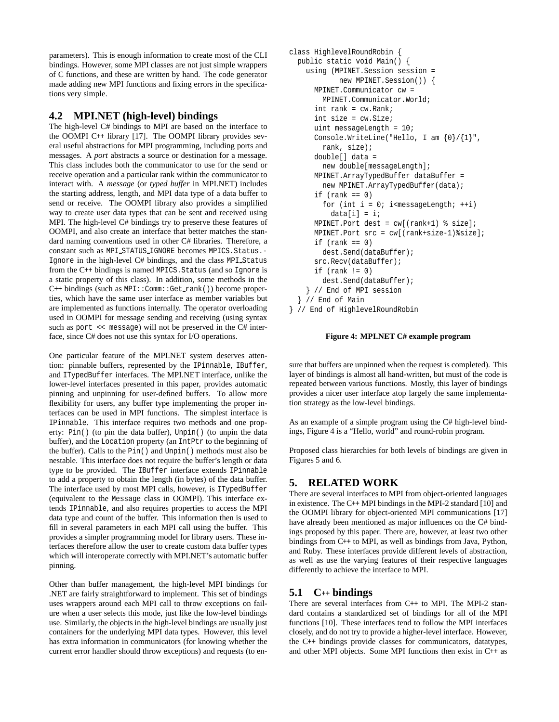parameters). This is enough information to create most of the CLI bindings. However, some MPI classes are not just simple wrappers of C functions, and these are written by hand. The code generator made adding new MPI functions and fixing errors in the specifications very simple.

### **4.2 MPI.NET (high-level) bindings**

The high-level C# bindings to MPI are based on the interface to the OOMPI C++ library [17]. The OOMPI library provides several useful abstractions for MPI programming, including ports and messages. A *port* abstracts a source or destination for a message. This class includes both the communicator to use for the send or receive operation and a particular rank within the communicator to interact with. A *message* (or *typed buffer* in MPI.NET) includes the starting address, length, and MPI data type of a data buffer to send or receive. The OOMPI library also provides a simplified way to create user data types that can be sent and received using MPI. The high-level C# bindings try to preserve these features of OOMPI, and also create an interface that better matches the standard naming conventions used in other C# libraries. Therefore, a constant such as MPI STATUS IGNORE becomes MPICS.Status.- Ignore in the high-level C# bindings, and the class MPI Status from the C++ bindings is named MPICS.Status (and so Ignore is a static property of this class). In addition, some methods in the  $C_{++}$  bindings (such as MPI:: $Comm::Get\_rank($ )) become properties, which have the same user interface as member variables but are implemented as functions internally. The operator overloading used in OOMPI for message sending and receiving (using syntax such as port << message) will not be preserved in the C# interface, since C# does not use this syntax for I/O operations.

One particular feature of the MPI.NET system deserves attention: pinnable buffers, represented by the IPinnable, IBuffer, and ITypedBuffer interfaces. The MPI.NET interface, unlike the lower-level interfaces presented in this paper, provides automatic pinning and unpinning for user-defined buffers. To allow more flexibility for users, any buffer type implementing the proper interfaces can be used in MPI functions. The simplest interface is IPinnable. This interface requires two methods and one property: Pin() (to pin the data buffer), Unpin() (to unpin the data buffer), and the Location property (an IntPtr to the beginning of the buffer). Calls to the Pin() and Unpin() methods must also be nestable. This interface does not require the buffer's length or data type to be provided. The IBuffer interface extends IPinnable to add a property to obtain the length (in bytes) of the data buffer. The interface used by most MPI calls, however, is ITypedBuffer (equivalent to the Message class in OOMPI). This interface extends IPinnable, and also requires properties to access the MPI data type and count of the buffer. This information then is used to fill in several parameters in each MPI call using the buffer. This provides a simpler programming model for library users. These interfaces therefore allow the user to create custom data buffer types which will interoperate correctly with MPI.NET's automatic buffer pinning.

Other than buffer management, the high-level MPI bindings for .NET are fairly straightforward to implement. This set of bindings uses wrappers around each MPI call to throw exceptions on failure when a user selects this mode, just like the low-level bindings use. Similarly, the objects in the high-level bindings are usually just containers for the underlying MPI data types. However, this level has extra information in communicators (for knowing whether the current error handler should throw exceptions) and requests (to en-

```
class HighlevelRoundRobin {
  public static void Main() {
    using (MPINET.Session session =
            new MPINET.Session()) {
      MPINET.Communicator cw =
        MPINET.Communicator.World;
      int rank = cw. Rank;
      int size = cw.Size;
      uint messageLength = 10;
      Console.WriteLine("Hello, I am {0}/{1}",
        rank, size);
      double[] data =
        new double[messageLength];
      MPINET.ArrayTypedBuffer dataBuffer =
        new MPINET.ArrayTypedBuffer(data);
      if (rank == 0)for (int i = 0; i<messageLength; ++i)
          data[i] = i;MPINET.Port dest = cw[(rank+1) % size];
      MPINET.Port src = cw[(rank+size-1)%size];
      if (rank == 0)dest.Send(dataBuffer);
      src.Recv(dataBuffer);
      if (rank != 0)dest.Send(dataBuffer);
    } // End of MPI session
  } // End of Main
} // End of HighlevelRoundRobin
```
### **Figure 4: MPI.NET C# example program**

sure that buffers are unpinned when the request is completed). This layer of bindings is almost all hand-written, but must of the code is repeated between various functions. Mostly, this layer of bindings provides a nicer user interface atop largely the same implementation strategy as the low-level bindings.

As an example of a simple program using the C# high-level bindings, Figure 4 is a "Hello, world" and round-robin program.

Proposed class hierarchies for both levels of bindings are given in Figures 5 and 6.

# **5. RELATED WORK**

There are several interfaces to MPI from object-oriented languages in existence. The C++ MPI bindings in the MPI-2 standard [10] and the OOMPI library for object-oriented MPI communications [17] have already been mentioned as major influences on the C# bindings proposed by this paper. There are, however, at least two other bindings from C++ to MPI, as well as bindings from Java, Python, and Ruby. These interfaces provide different levels of abstraction, as well as use the varying features of their respective languages differently to achieve the interface to MPI.

# **5.1 C**++ **bindings**

There are several interfaces from C++ to MPI. The MPI-2 standard contains a standardized set of bindings for all of the MPI functions [10]. These interfaces tend to follow the MPI interfaces closely, and do not try to provide a higher-level interface. However, the C++ bindings provide classes for communicators, datatypes, and other MPI objects. Some MPI functions then exist in C++ as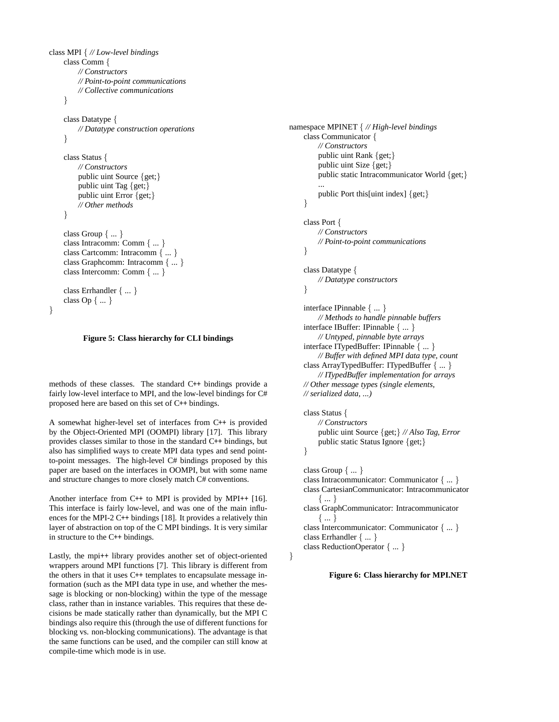```
class MPI { // Low-level bindings
    class Comm {
        // Constructors
        // Point-to-point communications
        // Collective communications
    }
    class Datatype {
        // Datatype construction operations
    }
    class Status {
        // Constructors
        public uint Source {get;}
        public uint Tag {get;}
        public uint Error {get;}
        // Other methods
    }
    class Group { ... }
    class Intracomm: Comm { ... }
    class Cartcomm: Intracomm { ... }
    class Graphcomm: Intracomm { ... }
    class Intercomm: Comm { ... }
    class Errhandler { ... }
    class Op { ... }
```

```
}
```
### **Figure 5: Class hierarchy for CLI bindings**

methods of these classes. The standard C++ bindings provide a fairly low-level interface to MPI, and the low-level bindings for C# proposed here are based on this set of C++ bindings.

A somewhat higher-level set of interfaces from C++ is provided by the Object-Oriented MPI (OOMPI) library [17]. This library provides classes similar to those in the standard C++ bindings, but also has simplified ways to create MPI data types and send pointto-point messages. The high-level C# bindings proposed by this paper are based on the interfaces in OOMPI, but with some name and structure changes to more closely match C# conventions.

Another interface from C++ to MPI is provided by MPI++ [16]. This interface is fairly low-level, and was one of the main influences for the MPI-2 C++ bindings [18]. It provides a relatively thin layer of abstraction on top of the C MPI bindings. It is very similar in structure to the C++ bindings.

Lastly, the mpi++ library provides another set of object-oriented wrappers around MPI functions [7]. This library is different from the others in that it uses C++ templates to encapsulate message information (such as the MPI data type in use, and whether the message is blocking or non-blocking) within the type of the message class, rather than in instance variables. This requires that these decisions be made statically rather than dynamically, but the MPI C bindings also require this (through the use of different functions for blocking vs. non-blocking communications). The advantage is that the same functions can be used, and the compiler can still know at compile-time which mode is in use.

```
namespace MPINET { // High-level bindings
    class Communicator {
        // Constructors
         public uint Rank {get;}
         public uint Size {get;}
         public static Intracommunicator World {get;}
         ...
         public Port this[uint index] {get;}
    }
    class Port {
        // Constructors
        // Point-to-point communications
    }
    class Datatype {
        // Datatype constructors
    }
    interface IPinnable { ... }
        // Methods to handle pinnable buffers
    interface IBuffer: IPinnable { ... }
        // Untyped, pinnable byte arrays
    interface ITypedBuffer: IPinnable { ... }
```

```
// Buffer with defined MPI data type, count
class ArrayTypedBuffer: ITypedBuffer { ... }
    // ITypedBuffer implementation for arrays
// Other message types (single elements,
```
*// serialized data, ...)*

class Status *{ // Constructors* public uint Source *{*get;*} // Also Tag, Error* public static Status Ignore *{*get;*} }*

```
class Group { ... }
class Intracommunicator: Communicator { ... }
class CartesianCommunicator: Intracommunicator
    { ... }
class GraphCommunicator: Intracommunicator
    { ... }
class Intercommunicator: Communicator { ... }
class Errhandler { ... }
class ReductionOperator { ... }
```
*}*

**Figure 6: Class hierarchy for MPI.NET**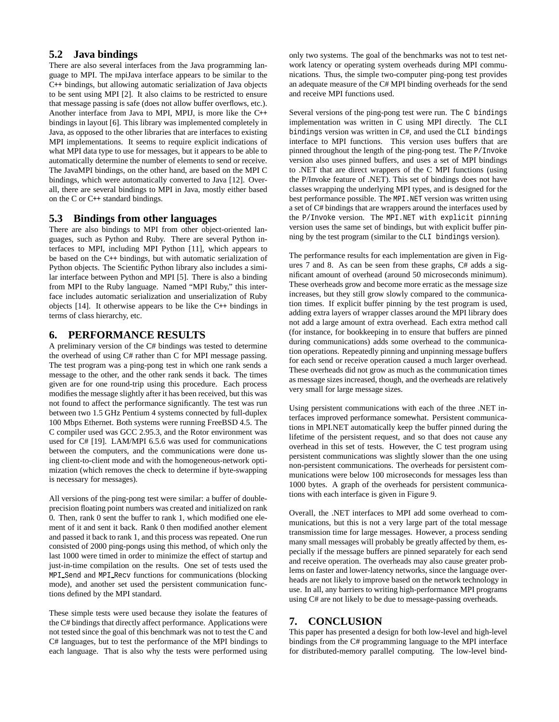# **5.2 Java bindings**

There are also several interfaces from the Java programming language to MPI. The mpiJava interface appears to be similar to the C++ bindings, but allowing automatic serialization of Java objects to be sent using MPI [2]. It also claims to be restricted to ensure that message passing is safe (does not allow buffer overflows, etc.). Another interface from Java to MPI, MPIJ, is more like the C++ bindings in layout [6]. This library was implemented completely in Java, as opposed to the other libraries that are interfaces to existing MPI implementations. It seems to require explicit indications of what MPI data type to use for messages, but it appears to be able to automatically determine the number of elements to send or receive. The JavaMPI bindings, on the other hand, are based on the MPI C bindings, which were automatically converted to Java [12]. Overall, there are several bindings to MPI in Java, mostly either based on the C or C++ standard bindings.

### **5.3 Bindings from other languages**

There are also bindings to MPI from other object-oriented languages, such as Python and Ruby. There are several Python interfaces to MPI, including MPI Python [11], which appears to be based on the C++ bindings, but with automatic serialization of Python objects. The Scientific Python library also includes a similar interface between Python and MPI [5]. There is also a binding from MPI to the Ruby language. Named "MPI Ruby," this interface includes automatic serialization and unserialization of Ruby objects [14]. It otherwise appears to be like the C++ bindings in terms of class hierarchy, etc.

# **6. PERFORMANCE RESULTS**

A preliminary version of the C# bindings was tested to determine the overhead of using C# rather than C for MPI message passing. The test program was a ping-pong test in which one rank sends a message to the other, and the other rank sends it back. The times given are for one round-trip using this procedure. Each process modifies the message slightly after it has been received, but this was not found to affect the performance significantly. The test was run between two 1.5 GHz Pentium 4 systems connected by full-duplex 100 Mbps Ethernet. Both systems were running FreeBSD 4.5. The C compiler used was GCC 2.95.3, and the Rotor environment was used for C# [19]. LAM/MPI 6.5.6 was used for communications between the computers, and the communications were done using client-to-client mode and with the homogeneous-network optimization (which removes the check to determine if byte-swapping is necessary for messages).

All versions of the ping-pong test were similar: a buffer of doubleprecision floating point numbers was created and initialized on rank 0. Then, rank 0 sent the buffer to rank 1, which modified one element of it and sent it back. Rank 0 then modified another element and passed it back to rank 1, and this process was repeated. One run consisted of 2000 ping-pongs using this method, of which only the last 1000 were timed in order to minimize the effect of startup and just-in-time compilation on the results. One set of tests used the MPI Send and MPI Recv functions for communications (blocking mode), and another set used the persistent communication functions defined by the MPI standard.

These simple tests were used because they isolate the features of the C# bindings that directly affect performance. Applications were not tested since the goal of this benchmark was not to test the C and C# languages, but to test the performance of the MPI bindings to each language. That is also why the tests were performed using only two systems. The goal of the benchmarks was not to test network latency or operating system overheads during MPI communications. Thus, the simple two-computer ping-pong test provides an adequate measure of the C# MPI binding overheads for the send and receive MPI functions used.

Several versions of the ping-pong test were run. The C bindings implementation was written in C using MPI directly. The CLI bindings version was written in C#, and used the CLI bindings interface to MPI functions. This version uses buffers that are pinned throughout the length of the ping-pong test. The P/Invoke version also uses pinned buffers, and uses a set of MPI bindings to .NET that are direct wrappers of the C MPI functions (using the P/Invoke feature of .NET). This set of bindings does not have classes wrapping the underlying MPI types, and is designed for the best performance possible. The MPI.NET version was written using a set of C# bindings that are wrappers around the interfaces used by the P/Invoke version. The MPI.NET with explicit pinning version uses the same set of bindings, but with explicit buffer pinning by the test program (similar to the CLI bindings version).

The performance results for each implementation are given in Figures 7 and 8. As can be seen from these graphs, C# adds a significant amount of overhead (around 50 microseconds minimum). These overheads grow and become more erratic as the message size increases, but they still grow slowly compared to the communication times. If explicit buffer pinning by the test program is used, adding extra layers of wrapper classes around the MPI library does not add a large amount of extra overhead. Each extra method call (for instance, for bookkeeping in to ensure that buffers are pinned during communications) adds some overhead to the communication operations. Repeatedly pinning and unpinning message buffers for each send or receive operation caused a much larger overhead. These overheads did not grow as much as the communication times as message sizes increased, though, and the overheads are relatively very small for large message sizes.

Using persistent communications with each of the three .NET interfaces improved performance somewhat. Persistent communications in MPI.NET automatically keep the buffer pinned during the lifetime of the persistent request, and so that does not cause any overhead in this set of tests. However, the C test program using persistent communications was slightly slower than the one using non-persistent communications. The overheads for persistent communications were below 100 microseconds for messages less than 1000 bytes. A graph of the overheads for persistent communications with each interface is given in Figure 9.

Overall, the .NET interfaces to MPI add some overhead to communications, but this is not a very large part of the total message transmission time for large messages. However, a process sending many small messages will probably be greatly affected by them, especially if the message buffers are pinned separately for each send and receive operation. The overheads may also cause greater problems on faster and lower-latency networks, since the language overheads are not likely to improve based on the network technology in use. In all, any barriers to writing high-performance MPI programs using C# are not likely to be due to message-passing overheads.

# **7. CONCLUSION**

This paper has presented a design for both low-level and high-level bindings from the C# programming language to the MPI interface for distributed-memory parallel computing. The low-level bind-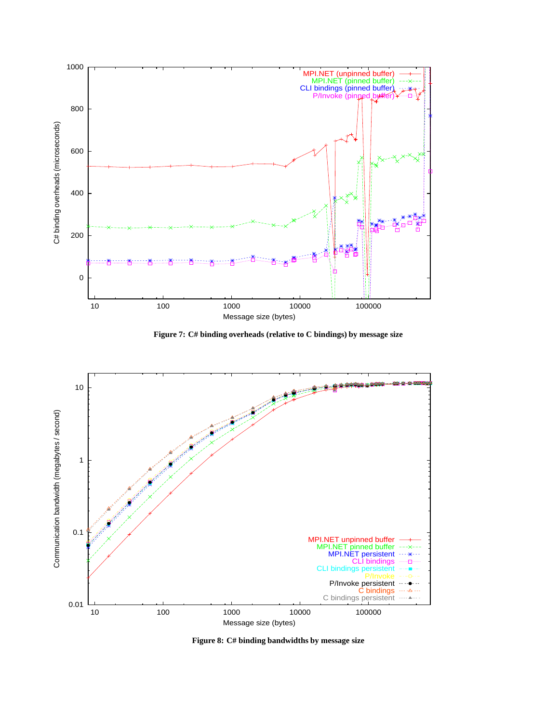

**Figure 7: C# binding overheads (relative to C bindings) by message size**



**Figure 8: C# binding bandwidths by message size**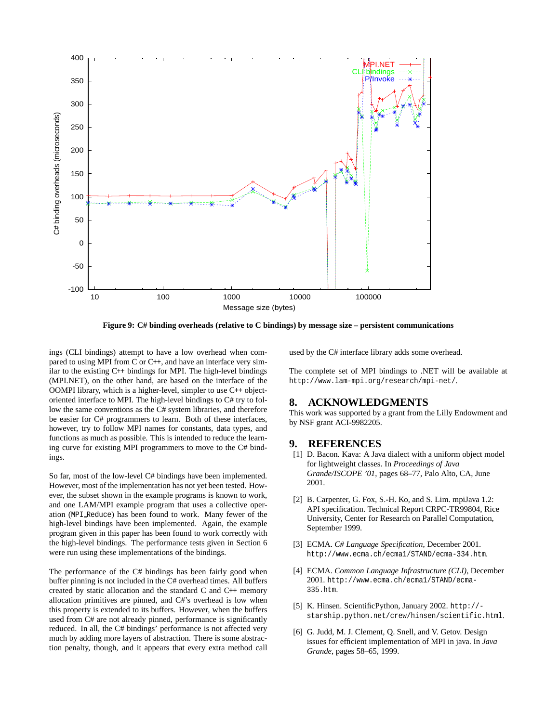

**Figure 9: C# binding overheads (relative to C bindings) by message size – persistent communications**

ings (CLI bindings) attempt to have a low overhead when compared to using MPI from C or C++, and have an interface very similar to the existing C++ bindings for MPI. The high-level bindings (MPI.NET), on the other hand, are based on the interface of the OOMPI library, which is a higher-level, simpler to use C++ objectoriented interface to MPI. The high-level bindings to C# try to follow the same conventions as the C# system libraries, and therefore be easier for C# programmers to learn. Both of these interfaces, however, try to follow MPI names for constants, data types, and functions as much as possible. This is intended to reduce the learning curve for existing MPI programmers to move to the C# bindings.

So far, most of the low-level C# bindings have been implemented. However, most of the implementation has not yet been tested. However, the subset shown in the example programs is known to work, and one LAM/MPI example program that uses a collective operation (MPI Reduce) has been found to work. Many fewer of the high-level bindings have been implemented. Again, the example program given in this paper has been found to work correctly with the high-level bindings. The performance tests given in Section 6 were run using these implementations of the bindings.

The performance of the C# bindings has been fairly good when buffer pinning is not included in the C# overhead times. All buffers created by static allocation and the standard C and C++ memory allocation primitives are pinned, and C#'s overhead is low when this property is extended to its buffers. However, when the buffers used from C# are not already pinned, performance is significantly reduced. In all, the C# bindings' performance is not affected very much by adding more layers of abstraction. There is some abstraction penalty, though, and it appears that every extra method call used by the C# interface library adds some overhead.

The complete set of MPI bindings to .NET will be available at http://www.lam-mpi.org/research/mpi-net/.

### **8. ACKNOWLEDGMENTS**

This work was supported by a grant from the Lilly Endowment and by NSF grant ACI-9982205.

### **9. REFERENCES**

- [1] D. Bacon. Kava: A Java dialect with a uniform object model for lightweight classes. In *Proceedings of Java Grande/ISCOPE '01*, pages 68–77, Palo Alto, CA, June 2001.
- [2] B. Carpenter, G. Fox, S.-H. Ko, and S. Lim. mpiJava 1.2: API specification. Technical Report CRPC-TR99804, Rice University, Center for Research on Parallel Computation, September 1999.
- [3] ECMA. *C# Language Specification*, December 2001. http://www.ecma.ch/ecma1/STAND/ecma-334.htm.
- [4] ECMA. *Common Language Infrastructure (CLI)*, December 2001. http://www.ecma.ch/ecma1/STAND/ecma-335.htm.
- [5] K. Hinsen. ScientificPython, January 2002. http:// starship.python.net/crew/hinsen/scientific.html.
- [6] G. Judd, M. J. Clement, Q. Snell, and V. Getov. Design issues for efficient implementation of MPI in java. In *Java Grande*, pages 58–65, 1999.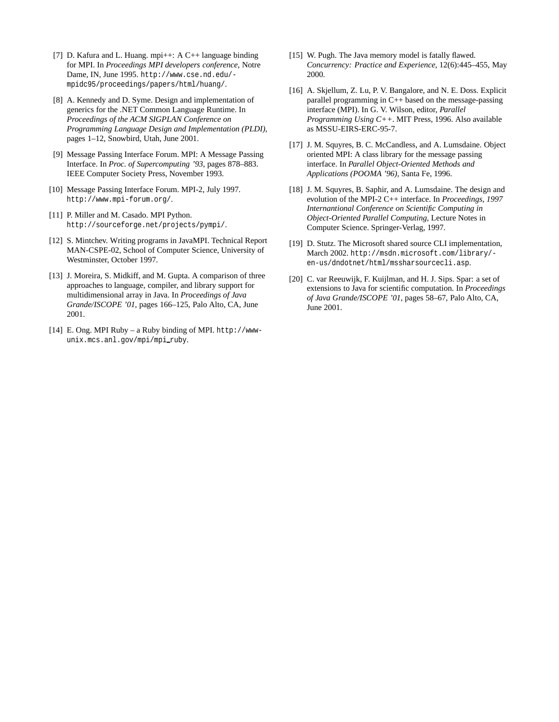- [7] D. Kafura and L. Huang. mpi $++$ : A C $++$  language binding for MPI. In *Proceedings MPI developers conference*, Notre Dame, IN, June 1995. http://www.cse.nd.edu/ mpidc95/proceedings/papers/html/huang/.
- [8] A. Kennedy and D. Syme. Design and implementation of generics for the .NET Common Language Runtime. In *Proceedings of the ACM SIGPLAN Conference on Programming Language Design and Implementation (PLDI)*, pages 1–12, Snowbird, Utah, June 2001.
- [9] Message Passing Interface Forum. MPI: A Message Passing Interface. In *Proc. of Supercomputing '93*, pages 878–883. IEEE Computer Society Press, November 1993.
- [10] Message Passing Interface Forum. MPI-2, July 1997. http://www.mpi-forum.org/.
- [11] P. Miller and M. Casado. MPI Python. http://sourceforge.net/projects/pympi/.
- [12] S. Mintchev. Writing programs in JavaMPI. Technical Report MAN-CSPE-02, School of Computer Science, University of Westminster, October 1997.
- [13] J. Moreira, S. Midkiff, and M. Gupta. A comparison of three approaches to language, compiler, and library support for multidimensional array in Java. In *Proceedings of Java Grande/ISCOPE '01*, pages 166–125, Palo Alto, CA, June 2001.
- [14] E. Ong. MPI Ruby a Ruby binding of MPI. http://wwwunix.mcs.anl.gov/mpi/mpi\_ruby.
- [15] W. Pugh. The Java memory model is fatally flawed. *Concurrency: Practice and Experience*, 12(6):445–455, May 2000.
- [16] A. Skjellum, Z. Lu, P. V. Bangalore, and N. E. Doss. Explicit parallel programming in C++ based on the message-passing interface (MPI). In G. V. Wilson, editor, *Parallel Programming Using C++*. MIT Press, 1996. Also available as MSSU-EIRS-ERC-95-7.
- [17] J. M. Squyres, B. C. McCandless, and A. Lumsdaine. Object oriented MPI: A class library for the message passing interface. In *Parallel Object-Oriented Methods and Applications (POOMA '96)*, Santa Fe, 1996.
- [18] J. M. Squyres, B. Saphir, and A. Lumsdaine. The design and evolution of the MPI-2 C++ interface. In *Proceedings, 1997 Internantional Conference on Scientific Computing in Object-Oriented Parallel Computing*, Lecture Notes in Computer Science. Springer-Verlag, 1997.
- [19] D. Stutz. The Microsoft shared source CLI implementation, March 2002. http://msdn.microsoft.com/library/ en-us/dndotnet/html/mssharsourcecli.asp.
- [20] C. var Reeuwijk, F. Kuijlman, and H. J. Sips. Spar: a set of extensions to Java for scientific computation. In *Proceedings of Java Grande/ISCOPE '01*, pages 58–67, Palo Alto, CA, June 2001.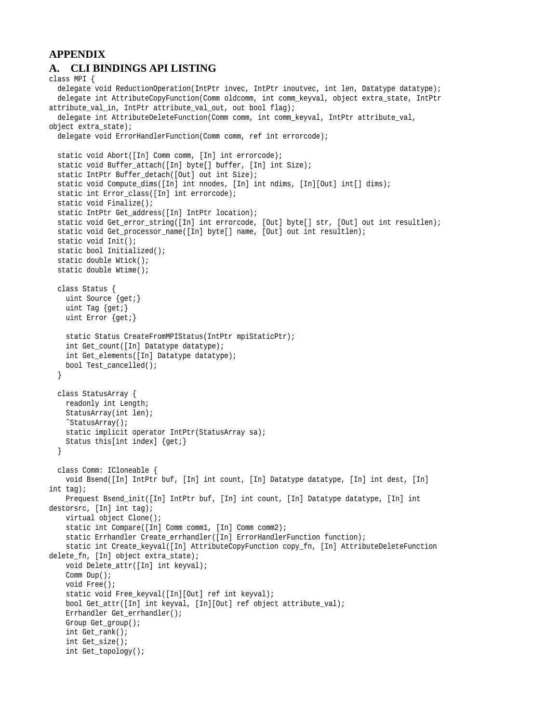# **APPENDIX A. CLI BINDINGS API LISTING**

```
class MPI {
 delegate void ReductionOperation(IntPtr invec, IntPtr inoutvec, int len, Datatype datatype);
 delegate int AttributeCopyFunction(Comm oldcomm, int comm_keyval, object extra_state, IntPtr
attribute_val_in, IntPtr attribute_val_out, out bool flag);
 delegate int AttributeDeleteFunction(Comm comm, int comm_keyval, IntPtr attribute_val,
object extra_state);
 delegate void ErrorHandlerFunction(Comm comm, ref int errorcode);
 static void Abort([In] Comm comm, [In] int errorcode);
 static void Buffer_attach([In] byte[] buffer, [In] int Size);
 static IntPtr Buffer_detach([Out] out int Size);
 static void Compute_dims([In] int nnodes, [In] int ndims, [In][Out] int[] dims);
 static int Error_class([In] int errorcode);
 static void Finalize();
 static IntPtr Get_address([In] IntPtr location);
 static void Get_error_string([In] int errorcode, [Out] byte[] str, [Out] out int resultlen);
 static void Get_processor_name([In] byte[] name, [Out] out int resultlen);
 static void Init();
 static bool Initialized();
 static double Wtick();
 static double Wtime();
 class Status {
   uint Source {get;}
   uint Tag {get;}
   uint Error {get;}
   static Status CreateFromMPIStatus(IntPtr mpiStaticPtr);
   int Get_count([In] Datatype datatype);
   int Get_elements([In] Datatype datatype);
   bool Test_cancelled();
  }
 class StatusArray {
   readonly int Length;
   StatusArray(int len);
   ˜StatusArray();
   static implicit operator IntPtr(StatusArray sa);
   Status this[int index] {get;}
  }
 class Comm: ICloneable {
   void Bsend([In] IntPtr buf, [In] int count, [In] Datatype datatype, [In] int dest, [In]
int tag);
   Prequest Bsend_init([In] IntPtr buf, [In] int count, [In] Datatype datatype, [In] int
destorsrc, [In] int tag);
   virtual object Clone();
   static int Compare([In] Comm comm1, [In] Comm comm2);
   static Errhandler Create_errhandler([In] ErrorHandlerFunction function);
   static int Create_keyval([In] AttributeCopyFunction copy_fn, [In] AttributeDeleteFunction
delete_fn, [In] object extra_state);
   void Delete_attr([In] int keyval);
   Comm Dup();
   void Free();
   static void Free_keyval([In][Out] ref int keyval);
   bool Get_attr([In] int keyval, [In][Out] ref object attribute_val);
   Errhandler Get_errhandler();
   Group Get_group();
   int Get_rank();
   int Get_size();
   int Get_topology();
```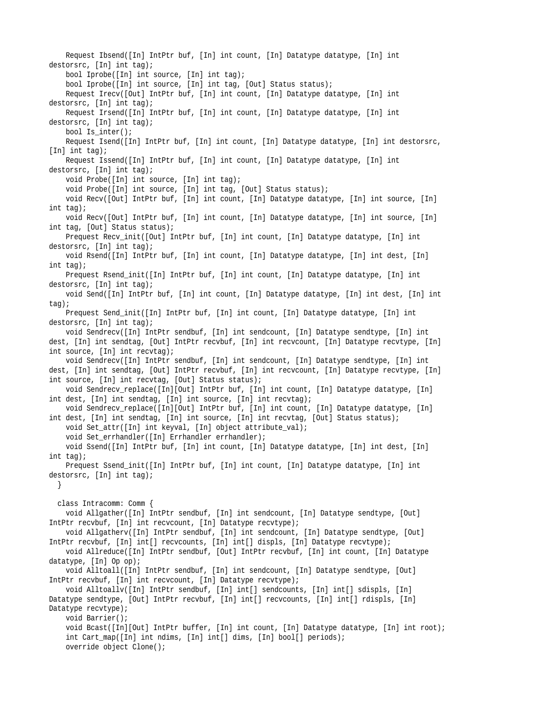Request Ibsend([In] IntPtr buf, [In] int count, [In] Datatype datatype, [In] int destorsrc, [In] int tag); bool Iprobe([In] int source, [In] int tag); bool Iprobe([In] int source, [In] int tag, [Out] Status status); Request Irecv([Out] IntPtr buf, [In] int count, [In] Datatype datatype, [In] int destorsrc, [In] int tag); Request Irsend([In] IntPtr buf, [In] int count, [In] Datatype datatype, [In] int destorsrc, [In] int tag); bool Is\_inter(); Request Isend([In] IntPtr buf, [In] int count, [In] Datatype datatype, [In] int destorsrc, [In] int tag); Request Issend([In] IntPtr buf, [In] int count, [In] Datatype datatype, [In] int destorsrc, [In] int tag); void Probe([In] int source, [In] int tag); void Probe([In] int source, [In] int tag, [Out] Status status); void Recv([Out] IntPtr buf, [In] int count, [In] Datatype datatype, [In] int source, [In] int tag); void Recv([Out] IntPtr buf, [In] int count, [In] Datatype datatype, [In] int source, [In] int tag, [Out] Status status); Prequest Recv\_init([Out] IntPtr buf, [In] int count, [In] Datatype datatype, [In] int destorsrc, [In] int tag); void Rsend([In] IntPtr buf, [In] int count, [In] Datatype datatype, [In] int dest, [In] int tag); Prequest Rsend\_init([In] IntPtr buf, [In] int count, [In] Datatype datatype, [In] int destorsrc, [In] int tag); void Send([In] IntPtr buf, [In] int count, [In] Datatype datatype, [In] int dest, [In] int tag); Prequest Send\_init([In] IntPtr buf, [In] int count, [In] Datatype datatype, [In] int destorsrc, [In] int tag); void Sendrecv([In] IntPtr sendbuf, [In] int sendcount, [In] Datatype sendtype, [In] int dest, [In] int sendtag, [Out] IntPtr recvbuf, [In] int recvcount, [In] Datatype recvtype, [In] int source, [In] int recvtag); void Sendrecv([In] IntPtr sendbuf, [In] int sendcount, [In] Datatype sendtype, [In] int dest, [In] int sendtag, [Out] IntPtr recvbuf, [In] int recvcount, [In] Datatype recvtype, [In] int source, [In] int recvtag, [Out] Status status); void Sendrecv\_replace([In][Out] IntPtr buf, [In] int count, [In] Datatype datatype, [In] int dest, [In] int sendtag, [In] int source, [In] int recvtag); void Sendrecv\_replace([In][Out] IntPtr buf, [In] int count, [In] Datatype datatype, [In] int dest, [In] int sendtag, [In] int source, [In] int recvtag, [Out] Status status); void Set\_attr([In] int keyval, [In] object attribute\_val); void Set\_errhandler([In] Errhandler errhandler); void Ssend([In] IntPtr buf, [In] int count, [In] Datatype datatype, [In] int dest, [In] int tag); Prequest Ssend\_init([In] IntPtr buf, [In] int count, [In] Datatype datatype, [In] int destorsrc, [In] int tag); } class Intracomm: Comm { void Allgather([In] IntPtr sendbuf, [In] int sendcount, [In] Datatype sendtype, [Out] IntPtr recvbuf, [In] int recvcount, [In] Datatype recvtype); void Allgatherv([In] IntPtr sendbuf, [In] int sendcount, [In] Datatype sendtype, [Out] IntPtr recvbuf, [In] int[] recvcounts, [In] int[] displs, [In] Datatype recvtype); void Allreduce([In] IntPtr sendbuf, [Out] IntPtr recvbuf, [In] int count, [In] Datatype datatype, [In] Op op); void Alltoall([In] IntPtr sendbuf, [In] int sendcount, [In] Datatype sendtype, [Out] IntPtr recvbuf, [In] int recvcount, [In] Datatype recvtype); void Alltoallv([In] IntPtr sendbuf, [In] int[] sendcounts, [In] int[] sdispls, [In] Datatype sendtype, [Out] IntPtr recvbuf, [In] int[] recvcounts, [In] int[] rdispls, [In] Datatype recvtype); void Barrier(); void Bcast([In][Out] IntPtr buffer, [In] int count, [In] Datatype datatype, [In] int root); int Cart\_map([In] int ndims, [In] int[] dims, [In] bool[] periods); override object Clone();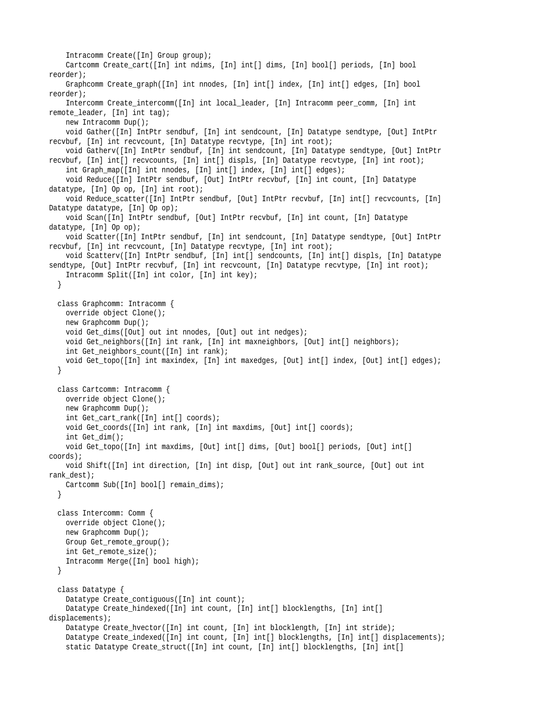```
Intracomm Create([In] Group group);
   Cartcomm Create_cart([In] int ndims, [In] int[] dims, [In] bool[] periods, [In] bool
reorder);
   Graphcomm Create_graph([In] int nnodes, [In] int[] index, [In] int[] edges, [In] bool
reorder);
   Intercomm Create_intercomm([In] int local_leader, [In] Intracomm peer_comm, [In] int
remote_leader, [In] int tag);
   new Intracomm Dup();
   void Gather([In] IntPtr sendbuf, [In] int sendcount, [In] Datatype sendtype, [Out] IntPtr
recvbuf, [In] int recvcount, [In] Datatype recvtype, [In] int root);
   void Gatherv([In] IntPtr sendbuf, [In] int sendcount, [In] Datatype sendtype, [Out] IntPtr
recvbuf, [In] int[] recvcounts, [In] int[] displs, [In] Datatype recvtype, [In] int root);
   int Graph_map([In] int nnodes, [In] int[] index, [In] int[] edges);
   void Reduce([In] IntPtr sendbuf, [Out] IntPtr recvbuf, [In] int count, [In] Datatype
datatype, [In] Op op, [In] int root);
   void Reduce_scatter([In] IntPtr sendbuf, [Out] IntPtr recvbuf, [In] int[] recvcounts, [In]
Datatype datatype, [In] Op op);
   void Scan([In] IntPtr sendbuf, [Out] IntPtr recvbuf, [In] int count, [In] Datatype
datatype, [In] Op op);
   void Scatter([In] IntPtr sendbuf, [In] int sendcount, [In] Datatype sendtype, [Out] IntPtr
recvbuf, [In] int recvcount, [In] Datatype recvtype, [In] int root);
   void Scatterv([In] IntPtr sendbuf, [In] int[] sendcounts, [In] int[] displs, [In] Datatype
sendtype, [Out] IntPtr recvbuf, [In] int recvcount, [In] Datatype recvtype, [In] int root);
   Intracomm Split([In] int color, [In] int key);
  }
 class Graphcomm: Intracomm {
   override object Clone();
   new Graphcomm Dup();
   void Get_dims([Out] out int nnodes, [Out] out int nedges);
   void Get_neighbors([In] int rank, [In] int maxneighbors, [Out] int[] neighbors);
   int Get_neighbors_count([In] int rank);
   void Get_topo([In] int maxindex, [In] int maxedges, [Out] int[] index, [Out] int[] edges);
  }
 class Cartcomm: Intracomm {
   override object Clone();
   new Graphcomm Dup();
   int Get_cart_rank([In] int[] coords);
   void Get_coords([In] int rank, [In] int maxdims, [Out] int[] coords);
   int Get_dim();
   void Get_topo([In] int maxdims, [Out] int[] dims, [Out] bool[] periods, [Out] int[]
coords);
   void Shift([In] int direction, [In] int disp, [Out] out int rank_source, [Out] out int
rank_dest);
   Cartcomm Sub([In] bool[] remain_dims);
  }
 class Intercomm: Comm {
   override object Clone();
   new Graphcomm Dup();
   Group Get_remote_group();
   int Get_remote_size();
   Intracomm Merge([In] bool high);
  }
 class Datatype {
   Datatype Create_contiguous([In] int count);
   Datatype Create_hindexed([In] int count, [In] int[] blocklengths, [In] int[]
displacements);
   Datatype Create_hvector([In] int count, [In] int blocklength, [In] int stride);
   Datatype Create_indexed([In] int count, [In] int[] blocklengths, [In] int[] displacements);
   static Datatype Create_struct([In] int count, [In] int[] blocklengths, [In] int[]
```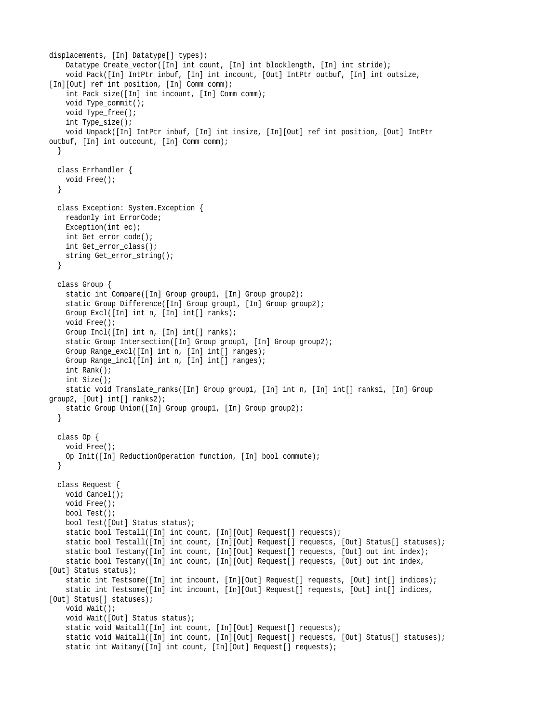```
displacements, [In] Datatype[] types);
    Datatype Create_vector([In] int count, [In] int blocklength, [In] int stride);
    void Pack([In] IntPtr inbuf, [In] int incount, [Out] IntPtr outbuf, [In] int outsize,
[In][Out] ref int position, [In] Comm comm);
   int Pack_size([In] int incount, [In] Comm comm);
   void Type_commit();
   void Type_free();
    int Type_size();
    void Unpack([In] IntPtr inbuf, [In] int insize, [In][Out] ref int position, [Out] IntPtr
outbuf, [In] int outcount, [In] Comm comm);
  }
  class Errhandler {
   void Free();
  }
  class Exception: System.Exception {
   readonly int ErrorCode;
   Exception(int ec);
   int Get_error_code();
   int Get_error_class();
   string Get_error_string();
  }
  class Group {
    static int Compare([In] Group group1, [In] Group group2);
    static Group Difference([In] Group group1, [In] Group group2);
   Group Excl([In] int n, [In] int[] ranks);
   void Free();
   Group Incl([In] int n, [In] int[] ranks);
   static Group Intersection([In] Group group1, [In] Group group2);
    Group Range_excl([In] int n, [In] int[] ranges);
    Group Range_incl([In] int n, [In] int[] ranges);
   int Rank();
   int Size();
    static void Translate_ranks([In] Group group1, [In] int n, [In] int[] ranks1, [In] Group
group2, [Out] int[] ranks2);
   static Group Union([In] Group group1, [In] Group group2);
  }
  class Op {
   void Free();
    Op Init([In] ReductionOperation function, [In] bool commute);
  }
  class Request {
   void Cancel();
   void Free();
   bool Test();
   bool Test([Out] Status status);
   static bool Testall([In] int count, [In][Out] Request[] requests);
   static bool Testall([In] int count, [In][Out] Request[] requests, [Out] Status[] statuses);
   static bool Testany([In] int count, [In][Out] Request[] requests, [Out] out int index);
   static bool Testany([In] int count, [In][Out] Request[] requests, [Out] out int index,
[Out] Status status);
   static int Testsome([In] int incount, [In][Out] Request[] requests, [Out] int[] indices);
   static int Testsome([In] int incount, [In][Out] Request[] requests, [Out] int[] indices,
[Out] Status[] statuses);
   void Wait();
   void Wait([Out] Status status);
   static void Waitall([In] int count, [In][Out] Request[] requests);
   static void Waitall([In] int count, [In][Out] Request[] requests, [Out] Status[] statuses);
    static int Waitany([In] int count, [In][Out] Request[] requests);
```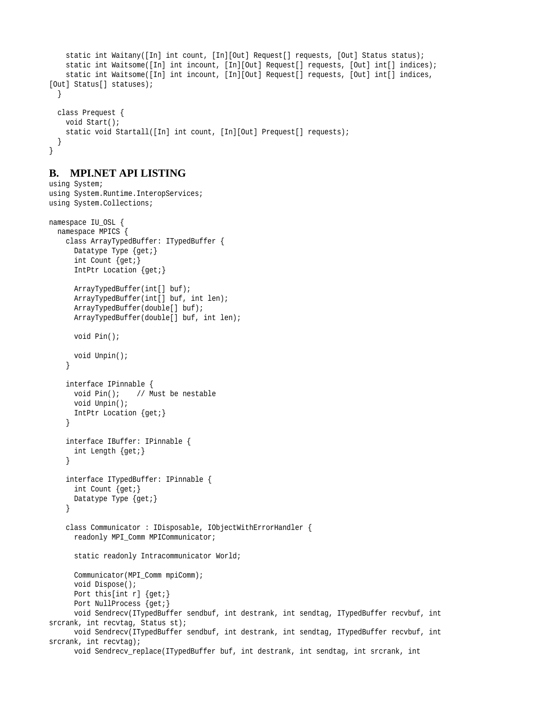```
static int Waitany([In] int count, [In][Out] Request[] requests, [Out] Status status);
   static int Waitsome([In] int incount, [In][Out] Request[] requests, [Out] int[] indices);
   static int Waitsome([In] int incount, [In][Out] Request[] requests, [Out] int[] indices,
[Out] Status[] statuses);
  }
 class Prequest {
   void Start();
   static void Startall([In] int count, [In][Out] Prequest[] requests);
  }
}
```
# **B. MPI.NET API LISTING**

using System;

```
using System.Runtime.InteropServices;
using System.Collections;
namespace IU_OSL {
 namespace MPICS {
   class ArrayTypedBuffer: ITypedBuffer {
     Datatype Type {get;}
     int Count {get;}
     IntPtr Location {get;}
     ArrayTypedBuffer(int[] buf);
     ArrayTypedBuffer(int[] buf, int len);
     ArrayTypedBuffer(double[] buf);
     ArrayTypedBuffer(double[] buf, int len);
     void Pin();
     void Unpin();
   }
   interface IPinnable {
     void Pin(); // Must be nestable
     void Unpin();
     IntPtr Location {get;}
   }
   interface IBuffer: IPinnable {
     int Length {get;}
   }
   interface ITypedBuffer: IPinnable {
     int Count {get;}
     Datatype Type {get;}
   }
   class Communicator : IDisposable, IObjectWithErrorHandler {
     readonly MPI_Comm MPICommunicator;
     static readonly Intracommunicator World;
     Communicator(MPI_Comm mpiComm);
     void Dispose();
     Port this[int r] {get;}
     Port NullProcess {get;}
     void Sendrecv(ITypedBuffer sendbuf, int destrank, int sendtag, ITypedBuffer recvbuf, int
srcrank, int recvtag, Status st);
     void Sendrecv(ITypedBuffer sendbuf, int destrank, int sendtag, ITypedBuffer recvbuf, int
srcrank, int recvtag);
     void Sendrecv_replace(ITypedBuffer buf, int destrank, int sendtag, int srcrank, int
```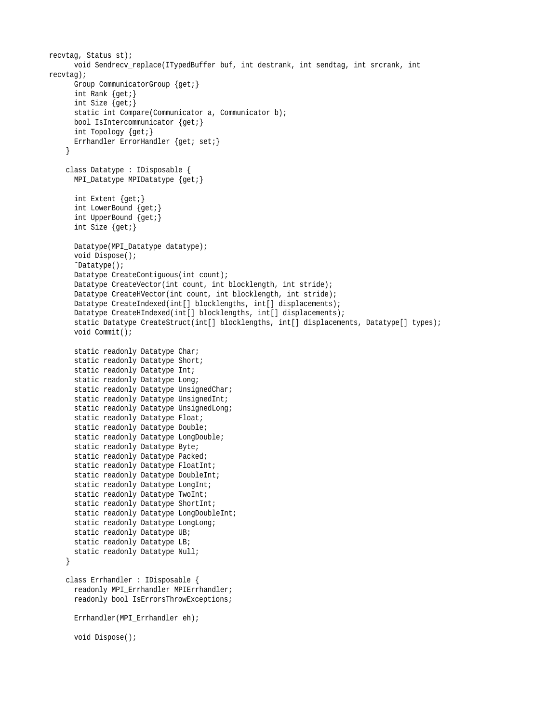```
recvtag, Status st);
     void Sendrecv_replace(ITypedBuffer buf, int destrank, int sendtag, int srcrank, int
recvtag);
     Group CommunicatorGroup {get;}
     int Rank {get;}
     int Size {get;}
     static int Compare(Communicator a, Communicator b);
     bool IsIntercommunicator {get;}
     int Topology {get;}
     Errhandler ErrorHandler {get; set;}
    }
   class Datatype : IDisposable {
     MPI_Datatype MPIDatatype {get;}
     int Extent {get;}
     int LowerBound {get;}
     int UpperBound {get;}
     int Size {get;}
     Datatype(MPI_Datatype datatype);
     void Dispose();
      ˜Datatype();
     Datatype CreateContiguous(int count);
     Datatype CreateVector(int count, int blocklength, int stride);
     Datatype CreateHVector(int count, int blocklength, int stride);
     Datatype CreateIndexed(int[] blocklengths, int[] displacements);
     Datatype CreateHIndexed(int[] blocklengths, int[] displacements);
     static Datatype CreateStruct(int[] blocklengths, int[] displacements, Datatype[] types);
     void Commit();
     static readonly Datatype Char;
     static readonly Datatype Short;
     static readonly Datatype Int;
     static readonly Datatype Long;
     static readonly Datatype UnsignedChar;
     static readonly Datatype UnsignedInt;
     static readonly Datatype UnsignedLong;
     static readonly Datatype Float;
     static readonly Datatype Double;
     static readonly Datatype LongDouble;
     static readonly Datatype Byte;
     static readonly Datatype Packed;
     static readonly Datatype FloatInt;
     static readonly Datatype DoubleInt;
     static readonly Datatype LongInt;
     static readonly Datatype TwoInt;
     static readonly Datatype ShortInt;
     static readonly Datatype LongDoubleInt;
     static readonly Datatype LongLong;
     static readonly Datatype UB;
     static readonly Datatype LB;
     static readonly Datatype Null;
   }
   class Errhandler : IDisposable {
     readonly MPI_Errhandler MPIErrhandler;
     readonly bool IsErrorsThrowExceptions;
     Errhandler(MPI_Errhandler eh);
     void Dispose();
```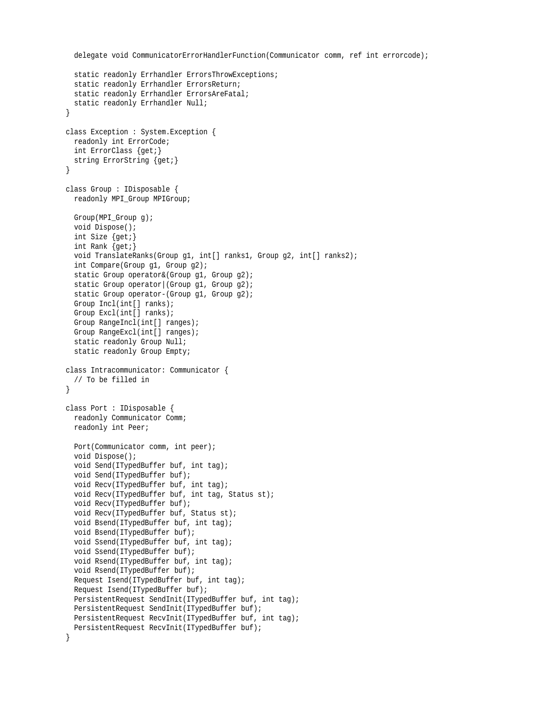```
delegate void CommunicatorErrorHandlerFunction(Communicator comm, ref int errorcode);
 static readonly Errhandler ErrorsThrowExceptions;
 static readonly Errhandler ErrorsReturn;
 static readonly Errhandler ErrorsAreFatal;
 static readonly Errhandler Null;
}
class Exception : System.Exception {
 readonly int ErrorCode;
 int ErrorClass {get;}
 string ErrorString {get;}
}
class Group : IDisposable {
 readonly MPI_Group MPIGroup;
 Group(MPI_Group g);
 void Dispose();
 int Size {get;}
 int Rank {get;}
 void TranslateRanks(Group g1, int[] ranks1, Group g2, int[] ranks2);
 int Compare(Group g1, Group g2);
 static Group operator&(Group g1, Group g2);
 static Group operator (Group g1, Group g2);
 static Group operator-(Group g1, Group g2);
 Group Incl(int[] ranks);
 Group Excl(int[] ranks);
 Group RangeIncl(int[] ranges);
 Group RangeExcl(int[] ranges);
 static readonly Group Null;
 static readonly Group Empty;
class Intracommunicator: Communicator {
  // To be filled in
}
class Port : IDisposable {
 readonly Communicator Comm;
 readonly int Peer;
 Port(Communicator comm, int peer);
 void Dispose();
 void Send(ITypedBuffer buf, int tag);
 void Send(ITypedBuffer buf);
 void Recv(ITypedBuffer buf, int tag);
 void Recv(ITypedBuffer buf, int tag, Status st);
 void Recv(ITypedBuffer buf);
 void Recv(ITypedBuffer buf, Status st);
 void Bsend(ITypedBuffer buf, int tag);
 void Bsend(ITypedBuffer buf);
 void Ssend(ITypedBuffer buf, int tag);
 void Ssend(ITypedBuffer buf);
 void Rsend(ITypedBuffer buf, int tag);
 void Rsend(ITypedBuffer buf);
 Request Isend(ITypedBuffer buf, int tag);
 Request Isend(ITypedBuffer buf);
 PersistentRequest SendInit(ITypedBuffer buf, int tag);
 PersistentRequest SendInit(ITypedBuffer buf);
 PersistentRequest RecvInit(ITypedBuffer buf, int tag);
 PersistentRequest RecvInit(ITypedBuffer buf);
}
```